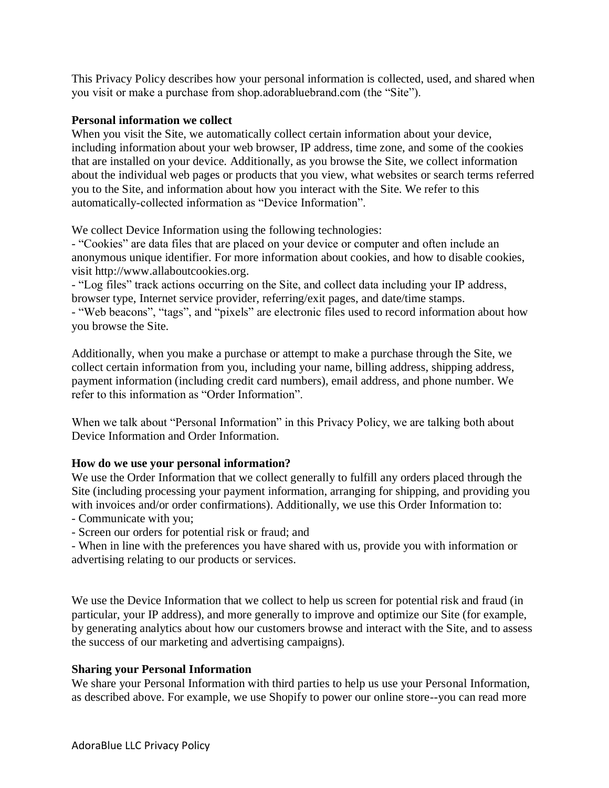This Privacy Policy describes how your personal information is collected, used, and shared when you visit or make a purchase from shop.adorabluebrand.com (the "Site").

### **Personal information we collect**

When you visit the Site, we automatically collect certain information about your device, including information about your web browser, IP address, time zone, and some of the cookies that are installed on your device. Additionally, as you browse the Site, we collect information about the individual web pages or products that you view, what websites or search terms referred you to the Site, and information about how you interact with the Site. We refer to this automatically-collected information as "Device Information".

We collect Device Information using the following technologies:

- "Cookies" are data files that are placed on your device or computer and often include an anonymous unique identifier. For more information about cookies, and how to disable cookies, visit http://www.allaboutcookies.org.

- "Log files" track actions occurring on the Site, and collect data including your IP address, browser type, Internet service provider, referring/exit pages, and date/time stamps.

- "Web beacons", "tags", and "pixels" are electronic files used to record information about how you browse the Site.

Additionally, when you make a purchase or attempt to make a purchase through the Site, we collect certain information from you, including your name, billing address, shipping address, payment information (including credit card numbers), email address, and phone number. We refer to this information as "Order Information".

When we talk about "Personal Information" in this Privacy Policy, we are talking both about Device Information and Order Information.

# **How do we use your personal information?**

We use the Order Information that we collect generally to fulfill any orders placed through the Site (including processing your payment information, arranging for shipping, and providing you with invoices and/or order confirmations). Additionally, we use this Order Information to:

- Communicate with you;
- Screen our orders for potential risk or fraud; and

- When in line with the preferences you have shared with us, provide you with information or advertising relating to our products or services.

We use the Device Information that we collect to help us screen for potential risk and fraud (in particular, your IP address), and more generally to improve and optimize our Site (for example, by generating analytics about how our customers browse and interact with the Site, and to assess the success of our marketing and advertising campaigns).

# **Sharing your Personal Information**

We share your Personal Information with third parties to help us use your Personal Information, as described above. For example, we use Shopify to power our online store--you can read more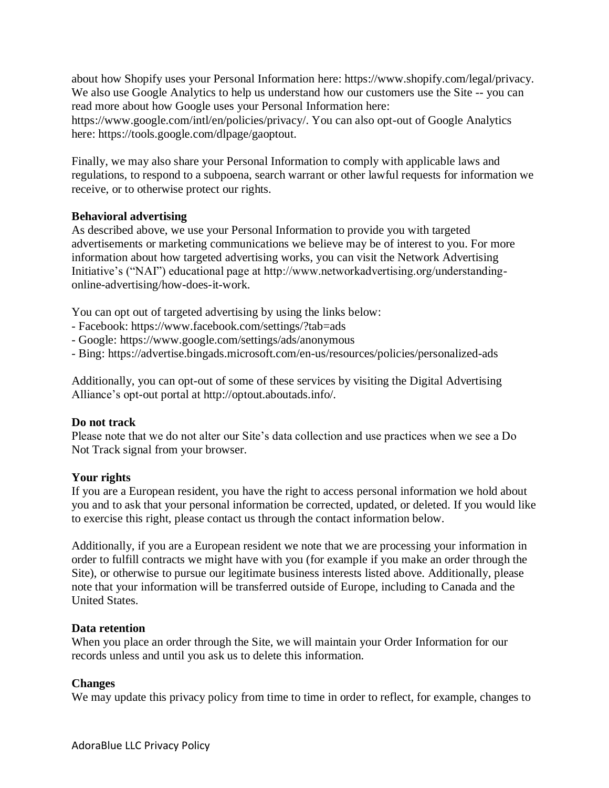about how Shopify uses your Personal Information here: https://www.shopify.com/legal/privacy. We also use Google Analytics to help us understand how our customers use the Site -- you can read more about how Google uses your Personal Information here: https://www.google.com/intl/en/policies/privacy/. You can also opt-out of Google Analytics

here: https://tools.google.com/dlpage/gaoptout.

Finally, we may also share your Personal Information to comply with applicable laws and regulations, to respond to a subpoena, search warrant or other lawful requests for information we receive, or to otherwise protect our rights.

### **Behavioral advertising**

As described above, we use your Personal Information to provide you with targeted advertisements or marketing communications we believe may be of interest to you. For more information about how targeted advertising works, you can visit the Network Advertising Initiative's ("NAI") educational page at http://www.networkadvertising.org/understandingonline-advertising/how-does-it-work.

You can opt out of targeted advertising by using the links below:

- Facebook: https://www.facebook.com/settings/?tab=ads
- Google: https://www.google.com/settings/ads/anonymous
- Bing: https://advertise.bingads.microsoft.com/en-us/resources/policies/personalized-ads

Additionally, you can opt-out of some of these services by visiting the Digital Advertising Alliance's opt-out portal at http://optout.aboutads.info/.

# **Do not track**

Please note that we do not alter our Site's data collection and use practices when we see a Do Not Track signal from your browser.

#### **Your rights**

If you are a European resident, you have the right to access personal information we hold about you and to ask that your personal information be corrected, updated, or deleted. If you would like to exercise this right, please contact us through the contact information below.

Additionally, if you are a European resident we note that we are processing your information in order to fulfill contracts we might have with you (for example if you make an order through the Site), or otherwise to pursue our legitimate business interests listed above. Additionally, please note that your information will be transferred outside of Europe, including to Canada and the United States.

#### **Data retention**

When you place an order through the Site, we will maintain your Order Information for our records unless and until you ask us to delete this information.

# **Changes**

We may update this privacy policy from time to time in order to reflect, for example, changes to